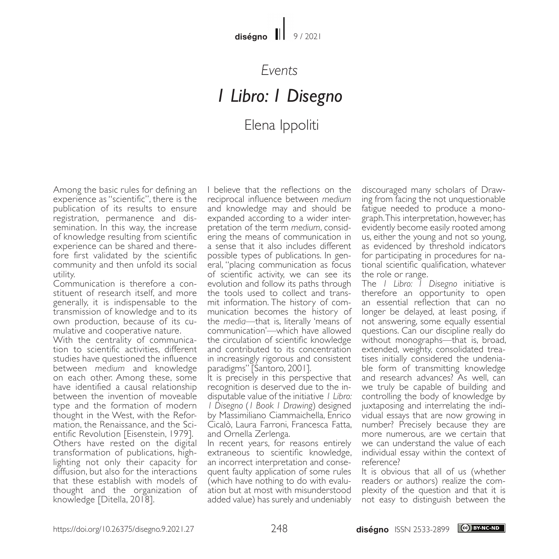### *Events*

# *1 Libro: 1 Disegno*

## Elena Ippoliti

Among the basic rules for defining an experience as "scientific", there is the publication of its results to ensure registration, permanence and dissemination. In this way, the increase of knowledge resulting from scientific experience can be shared and there- fore first validated by the scientific community and then unfold its social utility.<br>Communication is therefore a con-

stituent of research itself, and more generally, it is indispensable to the transmission of knowledge and to its own production, because of its cu- mulative and cooperative nature.

With the centrality of communica- tion to scientific activities, different studies have questioned the influence between *medium* and knowledge on each other. Among these, some have identified a causal relationship between the invention of moveable type and the formation of modern thought in the West, with the Reformation, the Renaissance, and the Scientific Revolution [Eisenstein, 1979]. Others have rested on the digital transformation of publications, highlighting not only their capacity for diffusion, but also for the interactions that these establish with models of thought and the organization of knowledge [Ditella, 2018].

I believe that the reflections on the reciprocal influence between *medium* and knowledge may and should be expanded according to a wider interpretation of the term *medium*, considering the means of communication in a sense that it also includes different possible types of publications. In gen- eral, "placing communication as focus of scientific activity, we can see its evolution and follow its paths through mit information. The history of com-<br>munication becomes the history of the *media*—that is, literally 'means of communication'—which have allowed the circulation of scientific knowledge and contributed to its concentration in increasingly rigorous and consistent paradigms" [Santoro, 2001].

It is precisely in this perspective that recognition is deserved due to the in- disputable value of the initiative *1 Libro: 1 Disegno* (*1 Book 1 Drawing*) designed by Massimiliano Ciammaichella, Enrico Cicalò, Laura Farroni, Francesca Fatta, and Ornella Zerlenga.

In recent years, for reasons entirely extraneous to scientific knowledge, an incorrect interpretation and consequent faulty application of some rules (which have nothing to do with evaluation but at most with misunderstood added value) has surely and undeniably discouraged many scholars of Drawing from facing the not unquestionable fatigue needed to produce a monograph. This interpretation, however, has evidently become easily rooted among us, either the young and not so young, as evidenced by threshold indicators for participating in procedures for na- tional scientific qualification, whatever the role or range.

The *1 Libro: 1 Disegno* initiative is therefore an opportunity to open an essential reflection that can no longer be delayed, at least posing, if not answering, some equally essential questions. Can our discipline really do without monographs—that is, broad, extended, weighty, consolidated trea- tises initially considered the undenia- ble form of transmitting knowledge and research advances? As well, can we truly be capable of building and controlling the body of knowledge by juxtaposing and interrelating the individual essays that are now growing in number? Precisely because they are more numerous, are we certain that we can understand the value of each individual essay within the context of reference?

It is obvious that all of us (whether readers or authors) realize the complexity of the question and that it is not easy to distinguish between the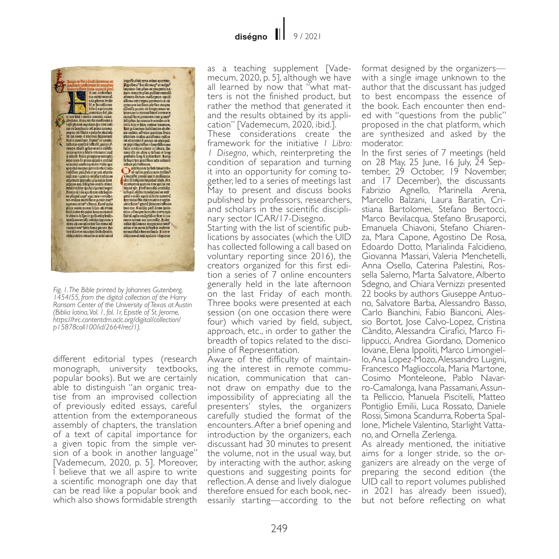librio-rapitulu piu<br>E Kater auibioliuo ) – Kara ambroline<br>– nia midji munuli<br>– nia phane andir<br>– life na principio<br>– amiadas ha pha am had a norma aminor unua s ann agu t bhais manair aona.<br>Sceitear à teacarí da nealtacha é e proceduir. Es ora ou uta irocdirica o e<br>a son giunto copulara chu tro utilita<br>cae va familiarea uta proca cattorni<br>coppos-uti libola s palpãe abulaçõ<br>lob doi nuto: er divinas loripotracia fludia conditant, legius<sup>9</sup> in veraib:<br>hiftarus-ouoloa luftraffe puincia<sup>6</sup> hittorico quoto a luttaffe puintafre<br>internacional different control and the puistaffe put control and the puistaffe<br>pure of gradient scheme puis puis and control and control and control and control<br>and control and control rdofffirme proagrafe en ur qui adguite<br>sufficiant - promae andific production<br>adjatemie gignalia proachia firme<br>prigiuse any bifiquite unitable firme<br>prigiuse any bifiquitation in the set of the property of their game and tamine with a contract for a point<br>plue maio anome fe for ab ovem<br>lumi-ladro doquées font manamérical<br>maio anome de point de contractes<br>quos ab souplations furonte anomena anomena<br>maio ab souplations furonte.<br>huisels seas buir illa trao inaubini buibs feculio-<br>odbraubilos miradiu-ur orbi tanta

 $\begin{tabular}{l|c|c|} \hline ingr\acute{a}F\acute{a}F\acute{a}F\acute{a}F\acute{a}F\acute{a}F\acute{a}F\acute{a}F\acute{a}F\acute{a}F\acute{a}F\acute{a}F\acute{a}F\acute{a}F\acute{a}F\acute{a}F\acute{a}F\acute{a}F\acute{a}F\acute{a}F\acute{a}F\acute{a}F\acute{a}F\acute{a}F\acute{a}F\acute{a}F\acute{a}F\acute{a}F\acute{a}F\acute{a}F\acute{a}F\acute{a}F\acute{a}F\acute{a$ an allgandrá pantumo cumo<br>an allgandrá pareir an alitopia<br>ir giguolophilae a lamolilimam<br>lotie madam vidar in labulo, qu  $\label{eq:2} The simulation function is a function of the number of both components, the probability function of the probability function, the probability function is the probability function. The probability function is the probability function, the probability function is the probability function, and the probability function is the probability function, and the probability function is the probability function, and the probability function is the probability function, and the probability function is the probability function, and the probability function is the probability function. The probability function is the probability function, and the probability function is the probability function, and the probability function is the probability function, and the probability function is the probability function, and the probability function is the probability function, and the probability function is the probability function.$ abis: huur? gaunii phicaror influent pue nat. Antunyo barahah at processor<br>fair a aplie avagelui-ur fora in value urina<br>fair a aplie avagelui-ur fora in value<br>antun arcara aux accorditar variories<br>antun-arcarafical antonio<br>propanilialacionus fonat. It inter

difficione di mbi guitare, a locareur

*Fig. 1. The Bible printed by Johannes Gutenberg, 1454/55, from the digital collection of the Harry Ransom Center of the University of Texas at Austin (Biblia latina, Vol. 1, fol. 1r, Epistle of St. Jerome, https://hrc.contentdm.oclc.org/digital/collection/ p15878coll100/id/2664/rec/1).*

different editorial types (research monograph, university textbooks, popular books). But we are certainly able to distinguish "an organic treatise from an improvised collection of previously edited essays, careful attention from the extemporaneous assembly of chapters, the translation of a text of capital importance for a given topic from the simple version of a book in another language" [Vademecum, 2020, p. 5]. Moreover, I believe that we all aspire to write a scientific monograph one day that can be read like a popular book and which also shows formidable strength

as a teaching supplement [Vade- mecum, 2020, p. 5], although we have all learned by now that "what mat- ters is not the finished product, but rather the method that generated it and the results obtained by its appli- cation" [Vademecum, 2020, ibid.].

These considerations create the framework for the initiative *1 Libro: 1 Disegno*, which, reinterpreting the condition of separation and turning it into an opportunity for coming together, led to a series of meetings last May to present and discuss books published by professors, researchers, and scholars in the scientific disciplinary sector ICAR/17-Disegno. Starting with the list of scientific publications by associates (which the UID has collected following a call based on voluntary reporting since 2016), the creators organized for this first edition a series of 7 online encounters generally held in the late afternoon on the last Friday of each month. I hree books were presented at each session (on one occasion there were four) which varied by field, subject, approach, etc., in order to gather the breadth of topics related to the discipline of Representation.

Aware of the difficulty of maintaining the interest in remote communication, communication that cannot draw on empathy due to the impossibility of appreciating all the presenters' styles, the organizers carefully studied the format of the encounters. After a brief opening and introduction by the organizers, each discussant had 30 minutes to present the volume, not in the usual way, but by interacting with the author, asking questions and suggesting points for reflection. A dense and lively dialogue therefore ensued for each book, nec- essarily starting—according to the

format designed by the organizers with a single image unknown to the author that the discussant has judged to best encompass the essence of<br>the book. Each encounter then ended with "questions from the public" proposed in the chat platform, which are synthesized and asked by the moderator.

In the first series of 7 meetings (held<br>on 28 May, 25 June, 16 July, 24 September, 29 October, 19 November, and 17 December), the discussants Fabrizio Agnello, Marinella Arena, Marcello Balzani, Laura Baratin, Cristiana Bartolomei, Stefano Bertocci, Marco Bevilacqua, Stefano Brusaporci, Emanuela Chiavoni, Stefano Chiarenza, Mara Capone, Agostino De Rosa, Edoardo Dotto, Marialinda Falcidieno, Giovanna Massari, Valeria Menchetelli, Anna Osello, Caterina Palestini, Rossella Salerno, Marta Salvatore, Alberto Sdegno, and Chiara Vernizzi presented 22 books by authors Giuseppe Antuono, Salvatore Barba, Alessandro Basso, Carlo Bianchini, Fabio Bianconi, Alessio Bortot, Jose Calvo-Lopez, Cristina Càndito, Alessandra Cirafici, Marco Filippucci, Andrea Giordano, Domenico Iovane, Elena Ippoliti, Marco Limongiello, Ana Lopez-Mozo, Alessandro Luigini, Francesco Maglioccola, Maria Martone, Cosimo Monteleone, Pablo Navarro-Camalonga, Ivana Passamani, Assunta Pelliccio, Manuela Piscitelli, Matteo Pontiglio Emilii, Luca Rossato, Daniele Rossi, Simona Scandurra, Roberta Spallone, Michele Valentino, Starlight Vattano, and Ornella Zerlenga.

As already mentioned, the initiative aims for a longer stride, so the organizers are already on the verge of preparing the second edition (the UID call to report volumes published in 2021 has already been issued), but not before reflecting on what